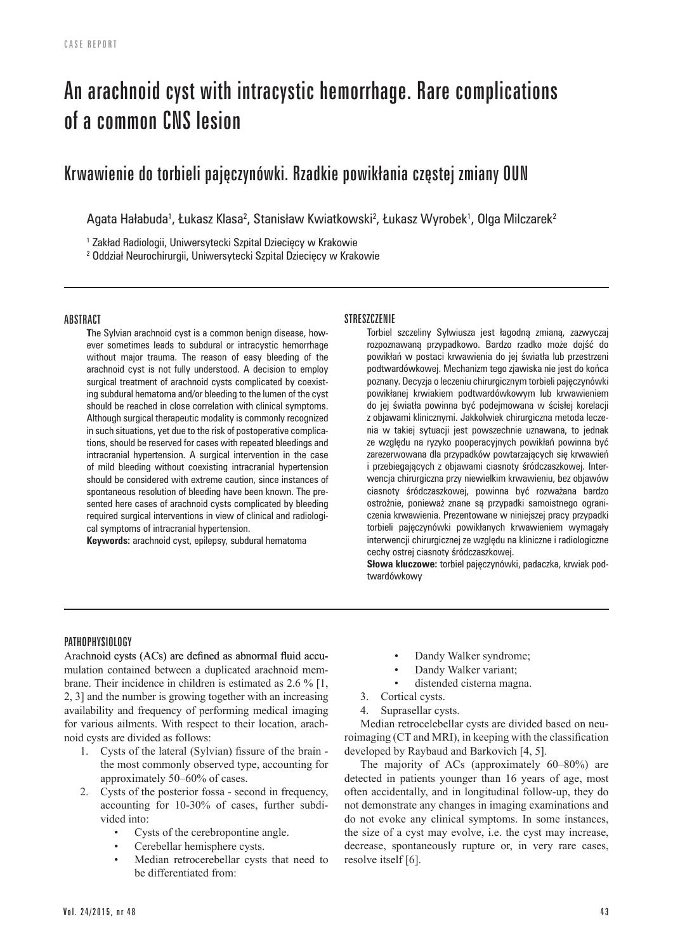# An arachnoid cyst with intracystic hemorrhage. Rare complications of a common CNS lesion

# Krwawienie do torbieli pajęczynówki. Rzadkie powikłania częstej zmiany OUN

Agata Hałabuda<sup>1</sup>, Łukasz Klasa<sup>2</sup>, Stanisław Kwiatkowski<sup>2</sup>, Łukasz Wyrobek<sup>1</sup>, Olga Milczarek<sup>2</sup>

1 Zakład Radiologii, Uniwersytecki Szpital Dziecięcy w Krakowie

2 Oddział Neurochirurgii, Uniwersytecki Szpital Dziecięcy w Krakowie

# ABSTRACT

**T**he Sylvian arachnoid cyst is a common benign disease, however sometimes leads to subdural or intracystic hemorrhage without major trauma. The reason of easy bleeding of the arachnoid cyst is not fully understood. A decision to employ surgical treatment of arachnoid cysts complicated by coexisting subdural hematoma and/or bleeding to the lumen of the cyst should be reached in close correlation with clinical symptoms. Although surgical therapeutic modality is commonly recognized in such situations, yet due to the risk of postoperative complications, should be reserved for cases with repeated bleedings and intracranial hypertension. A surgical intervention in the case of mild bleeding without coexisting intracranial hypertension should be considered with extreme caution, since instances of spontaneous resolution of bleeding have been known. The presented here cases of arachnoid cysts complicated by bleeding required surgical interventions in view of clinical and radiological symptoms of intracranial hypertension.

**Keywords:** arachnoid cyst, epilepsy, subdural hematoma

# **STRESZCZENIE**

Torbiel szczeliny Sylwiusza jest łagodną zmianą, zazwyczaj rozpoznawaną przypadkowo. Bardzo rzadko może dojść do powikłań w postaci krwawienia do jej światła lub przestrzeni podtwardówkowej. Mechanizm tego zjawiska nie jest do końca poznany. Decyzja o leczeniu chirurgicznym torbieli pajęczynówki powikłanej krwiakiem podtwardówkowym lub krwawieniem do jej światła powinna być podejmowana w ścisłej korelacji z objawami klinicznymi. Jakkolwiek chirurgiczna metoda leczenia w takiej sytuacji jest powszechnie uznawana, to jednak ze względu na ryzyko pooperacyjnych powikłań powinna być zarezerwowana dla przypadków powtarzających się krwawień i przebiegających z objawami ciasnoty śródczaszkowej. Interwencja chirurgiczna przy niewielkim krwawieniu, bez objawów ciasnoty śródczaszkowej, powinna być rozważana bardzo ostrożnie, ponieważ znane są przypadki samoistnego ograniczenia krwawienia. Prezentowane w niniejszej pracy przypadki torbieli pajęczynówki powikłanych krwawieniem wymagały interwencji chirurgicznej ze względu na kliniczne i radiologiczne cechy ostrej ciasnoty śródczaszkowej.

**Słowa kluczowe:** torbiel pajęczynówki, padaczka, krwiak podtwardówkowy

# **PATHOPHYSIOLOGY**

Arachnoid cysts (ACs) are defined as abnormal fluid accumulation contained between a duplicated arachnoid membrane. Their incidence in children is estimated as 2.6 % [1, 2, 3] and the number is growing together with an increasing availability and frequency of performing medical imaging for various ailments. With respect to their location, arachnoid cysts are divided as follows:

- 1. Cysts of the lateral (Sylvian) fissure of the brain the most commonly observed type, accounting for approximately 50–60% of cases.
- 2. Cysts of the posterior fossa second in frequency, accounting for 10-30% of cases, further subdivided into:
	- Cysts of the cerebropontine angle.
	- Cerebellar hemisphere cysts.
	- Median retrocerebellar cysts that need to be differentiated from:
- Dandy Walker syndrome;
- Dandy Walker variant:
- distended cisterna magna.
- 3. Cortical cysts.
- 4. Suprasellar cysts.

Median retrocelebellar cysts are divided based on neuroimaging (CT and MRI), in keeping with the classification developed by Raybaud and Barkovich [4, 5].

The majority of ACs (approximately 60–80%) are detected in patients younger than 16 years of age, most often accidentally, and in longitudinal follow-up, they do not demonstrate any changes in imaging examinations and do not evoke any clinical symptoms. In some instances, the size of a cyst may evolve, i.e. the cyst may increase, decrease, spontaneously rupture or, in very rare cases, resolve itself [6].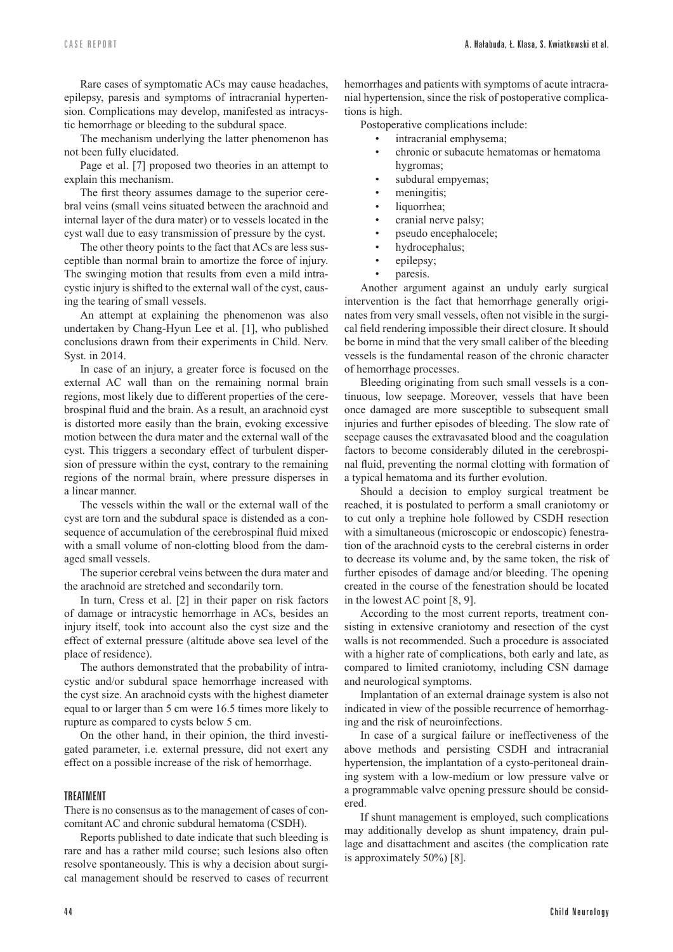Rare cases of symptomatic ACs may cause headaches, epilepsy, paresis and symptoms of intracranial hyperten� sion. Complications may develop, manifested as intracystic hemorrhage or bleeding to the subdural space.

The mechanism underlying the latter phenomenon has not been fully elucidated.

Page et al. [7] proposed two theories in an attempt to explain this mechanism.

The first theory assumes damage to the superior cerebral veins (small veins situated between the arachnoid and internal layer of the dura mater) or to vessels located in the cyst wall due to easy transmission of pressure by the cyst.

The other theory points to the fact that ACs are less susceptible than normal brain to amortize the force of injury. The swinging motion that results from even a mild intracystic injury is shifted to the external wall of the cyst, caus� ing the tearing of small vessels.

An attempt at explaining the phenomenon was also undertaken by Chang-Hyun Lee et al. [1], who published conclusions drawn from their experiments in Child. Nerv. Syst. in 2014.

In case of an injury, a greater force is focused on the external AC wall than on the remaining normal brain regions, most likely due to different properties of the cere� brospinal fluid and the brain. As a result, an arachnoid cyst is distorted more easily than the brain, evoking excessive motion between the dura mater and the external wall of the cyst. This triggers a secondary effect of turbulent disper� sion of pressure within the cyst, contrary to the remaining regions of the normal brain, where pressure disperses in a linear manner.

The vessels within the wall or the external wall of the cyst are torn and the subdural space is distended as a consequence of accumulation of the cerebrospinal fluid mixed with a small volume of non-clotting blood from the damaged small vessels.

The superior cerebral veins between the dura mater and the arachnoid are stretched and secondarily torn.

In turn, Cress et al. [2] in their paper on risk factors of damage or intracystic hemorrhage in ACs, besides an injury itself, took into account also the cyst size and the effect of external pressure (altitude above sea level of the place of residence).

The authors demonstrated that the probability of intracystic and/or subdural space hemorrhage increased with the cyst size. An arachnoid cysts with the highest diameter equal to or larger than 5 cm were 16.5 times more likely to rupture as compared to cysts below 5 cm.

On the other hand, in their opinion, the third investigated parameter, i.e. external pressure, did not exert any effect on a possible increase of the risk of hemorrhage.

#### TREATMENT

There is no consensus as to the management of cases of concomitant AC and chronic subdural hematoma (CSDH).

Reports published to date indicate that such bleeding is rare and has a rather mild course; such lesions also often resolve spontaneously. This is why a decision about surgi� cal management should be reserved to cases of recurrent hemorrhages and patients with symptoms of acute intracranial hypertension, since the risk of postoperative complica� tions is high.

Postoperative complications include:

- intracranial emphysema;
- chronic or subacute hematomas or hematoma hygromas;
- subdural empyemas;
- meningitis;
- liquorrhea;
- cranial nerve palsy;
- pseudo encephalocele;
- hydrocephalus;
- epilepsy;
- paresis.

Another argument against an unduly early surgical intervention is the fact that hemorrhage generally originates from very small vessels, often not visible in the surgical field rendering impossible their direct closure. It should be borne in mind that the very small caliber of the bleeding vessels is the fundamental reason of the chronic character of hemorrhage processes.

Bleeding originating from such small vessels is a continuous, low seepage. Moreover, vessels that have been once damaged are more susceptible to subsequent small injuries and further episodes of bleeding. The slow rate of seepage causes the extravasated blood and the coagulation factors to become considerably diluted in the cerebrospinal fluid, preventing the normal clotting with formation of a typical hematoma and its further evolution.

Should a decision to employ surgical treatment be reached, it is postulated to perform a small craniotomy or to cut only a trephine hole followed by CSDH resection with a simultaneous (microscopic or endoscopic) fenestration of the arachnoid cysts to the cerebral cisterns in order to decrease its volume and, by the same token, the risk of further episodes of damage and/or bleeding. The opening created in the course of the fenestration should be located in the lowest AC point [8, 9].

According to the most current reports, treatment con� sisting in extensive craniotomy and resection of the cyst walls is not recommended. Such a procedure is associated with a higher rate of complications, both early and late, as compared to limited craniotomy, including CSN damage and neurological symptoms.

Implantation of an external drainage system is also not indicated in view of the possible recurrence of hemorrhaging and the risk of neuroinfections.

In case of a surgical failure or ineffectiveness of the above methods and persisting CSDH and intracranial hypertension, the implantation of a cysto-peritoneal draining system with a low-medium or low pressure valve or a programmable valve opening pressure should be consid� ered.

If shunt management is employed, such complications may additionally develop as shunt impatency, drain pullage and disattachment and ascites (the complication rate is approximately 50%) [8].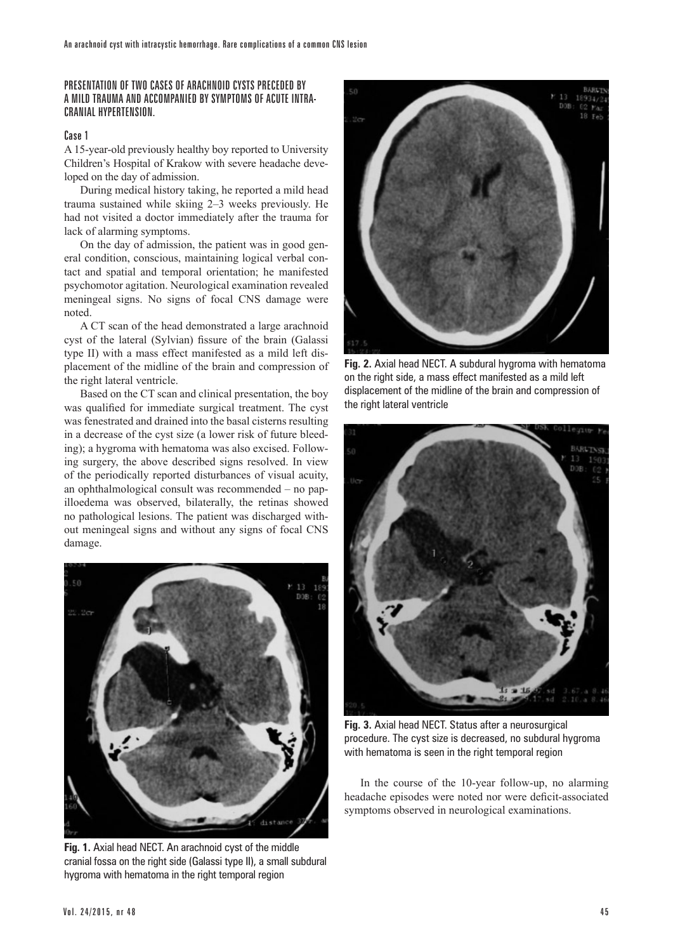# PRESENTATION OF TWO CASES OF ARACHNOID CYSTS PRECEDED BY A MILD TRAUMA AND ACCOMPANIED BY SYMPTOMS OF ACUTE INTRA-CRANIAL HYPERTENSION.

# Case 1

A 15-year-old previously healthy boy reported to University Children's Hospital of Krakow with severe headache deve� loped on the day of admission.

During medical history taking, he reported a mild head trauma sustained while skiing 2–3 weeks previously. He had not visited a doctor immediately after the trauma for lack of alarming symptoms.

On the day of admission, the patient was in good gen� eral condition, conscious, maintaining logical verbal con� tact and spatial and temporal orientation; he manifested psychomotor agitation. Neurological examination revealed meningeal signs. No signs of focal CNS damage were noted.

A CT scan of the head demonstrated a large arachnoid cyst of the lateral (Sylvian) fissure of the brain (Galassi type II) with a mass effect manifested as a mild left displacement of the midline of the brain and compression of the right lateral ventricle.

Based on the CT scan and clinical presentation, the boy was qualified for immediate surgical treatment. The cyst was fenestrated and drained into the basal cisterns resulting in a decrease of the cyst size (a lower risk of future bleeding); a hygroma with hematoma was also excised. Following surgery, the above described signs resolved. In view of the periodically reported disturbances of visual acuity, an ophthalmological consult was recommended  $-$  no papilloedema was observed, bilaterally, the retinas showed no pathological lesions. The patient was discharged with� out meningeal signs and without any signs of focal CNS damage.



**Fig. 1.** Axial head NECT. An arachnoid cyst of the middle cranial fossa on the right side (Galassi type II), a small subdural hygroma with hematoma in the right temporal region



**Fig. 2.** Axial head NECT. A subdural hygroma with hematoma on the right side, a mass effect manifested as a mild left displacement of the midline of the brain and compression of the right lateral ventricle



**Fig. 3.** Axial head NECT. Status after a neurosurgical procedure. The cyst size is decreased, no subdural hygroma with hematoma is seen in the right temporal region

In the course of the 10-year follow-up, no alarming headache episodes were noted nor were deficit-associated symptoms observed in neurological examinations.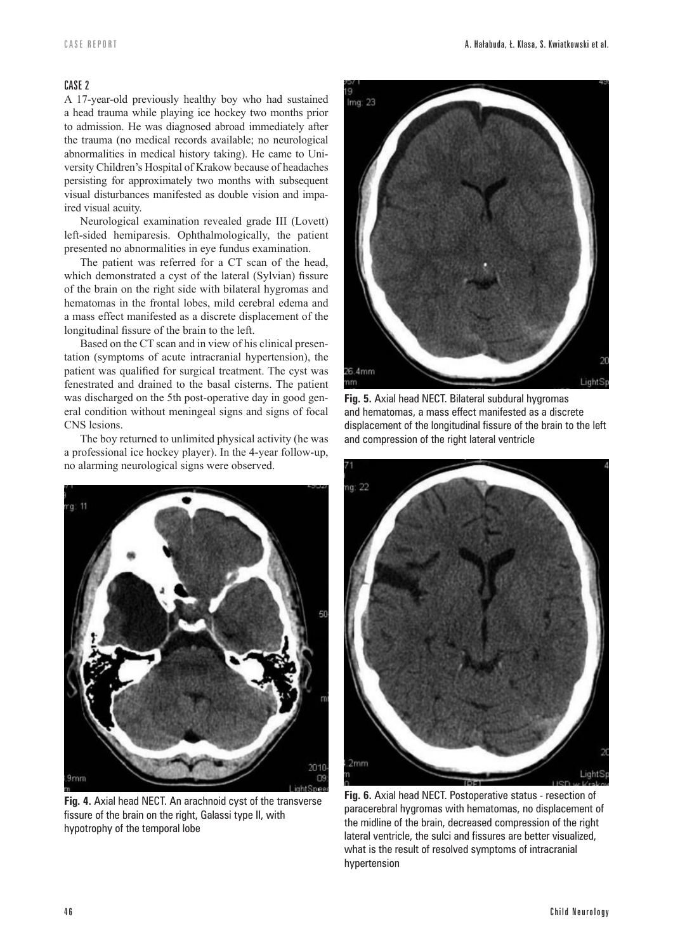#### CASE 2

A 17-year-old previously healthy boy who had sustained a head trauma while playing ice hockey two months prior to admission. He was diagnosed abroad immediately after the trauma (no medical records available; no neurological abnormalities in medical history taking). He came to University Children's Hospital of Krakow because of headaches persisting for approximately two months with subsequent visual disturbances manifested as double vision and impaired visual acuity.

Neurological examination revealed grade III (Lovett) left-sided hemiparesis. Ophthalmologically, the patient presented no abnormalities in eye fundus examination.

The patient was referred for a CT scan of the head, which demonstrated a cyst of the lateral (Sylvian) fissure of the brain on the right side with bilateral hygromas and hematomas in the frontal lobes, mild cerebral edema and a mass effect manifested as a discrete displacement of the longitudinal fissure of the brain to the left.

Based on the CT scan and in view of his clinical presen� tation (symptoms of acute intracranial hypertension), the patient was qualified for surgical treatment. The cyst was fenestrated and drained to the basal cisterns. The patient was discharged on the 5th post-operative day in good general condition without meningeal signs and signs of focal CNS lesions.

The boy returned to unlimited physical activity (he was a professional ice hockey player). In the 4-year follow-up, no alarming neurological signs were observed.



**Fig. 4.** Axial head NECT. An arachnoid cyst of the transverse fissure of the brain on the right, Galassi type II, with hypotrophy of the temporal lobe



**Fig. 5.** Axial head NECT. Bilateral subdural hygromas and hematomas, a mass effect manifested as a discrete displacement of the longitudinal fissure of the brain to the left and compression of the right lateral ventricle



**Fig. 6.** Axial head NECT. Postoperative status - resection of paracerebral hygromas with hematomas, no displacement of the midline of the brain, decreased compression of the right lateral ventricle, the sulci and fissures are better visualized, what is the result of resolved symptoms of intracranial hypertension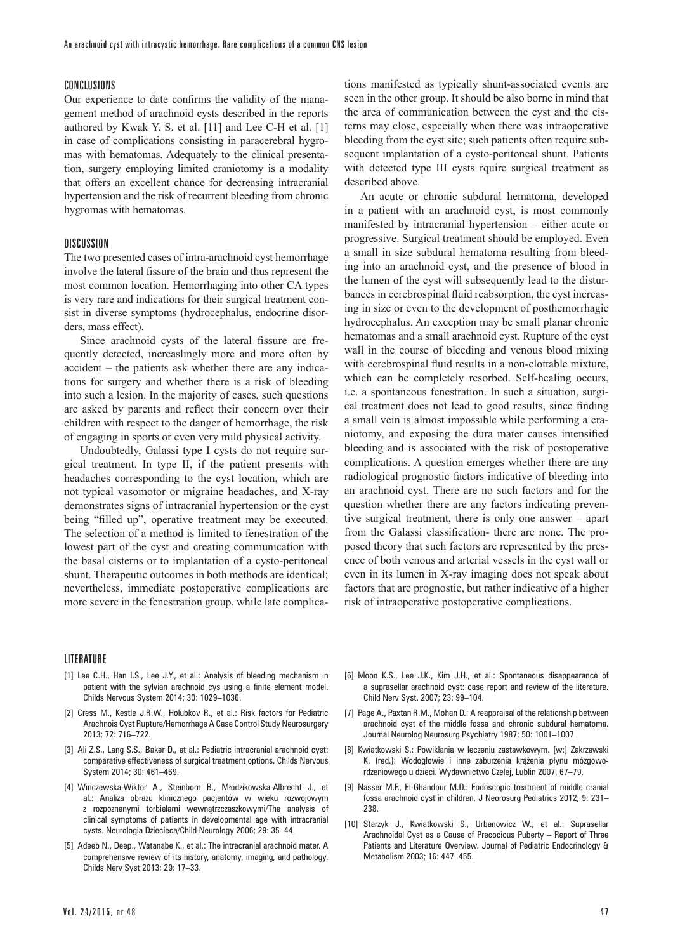#### CONCLUSIONS

Our experience to date confirms the validity of the management method of arachnoid cysts described in the reports authored by Kwak Y. S. et al. [11] and Lee C-H et al. [1] in case of complications consisting in paracerebral hygromas with hematomas. Adequately to the clinical presentation, surgery employing limited craniotomy is a modality that offers an excellent chance for decreasing intracranial hypertension and the risk of recurrent bleeding from chronic hygromas with hematomas.

#### **DISCUSSION**

The two presented cases of intra-arachnoid cyst hemorrhage involve the lateral fissure of the brain and thus represent the most common location. Hemorrhaging into other CA types is very rare and indications for their surgical treatment con� sist in diverse symptoms (hydrocephalus, endocrine disorders, mass effect).

Since arachnoid cysts of the lateral fissure are frequently detected, increaslingly more and more often by  $accident - the patients ask whether there are any indica$ tions for surgery and whether there is a risk of bleeding into such a lesion. In the majority of cases, such questions are asked by parents and reflect their concern over their children with respect to the danger of hemorrhage, the risk of engaging in sports or even very mild physical activity.

Undoubtedly, Galassi type I cysts do not require surgical treatment. In type II, if the patient presents with headaches corresponding to the cyst location, which are not typical vasomotor or migraine headaches, and X-ray demonstrates signs of intracranial hypertension or the cyst being "filled up", operative treatment may be executed. The selection of a method is limited to fenestration of the lowest part of the cyst and creating communication with the basal cisterns or to implantation of a cysto-peritoneal shunt. Therapeutic outcomes in both methods are identical; nevertheless, immediate postoperative complications are more severe in the fenestration group, while late complica-

tions manifested as typically shunt-associated events are seen in the other group. It should be also borne in mind that the area of communication between the cyst and the cisterns may close, especially when there was intraoperative bleeding from the cyst site; such patients often require subsequent implantation of a cysto-peritoneal shunt. Patients with detected type III cysts rquire surgical treatment as described above.

An acute or chronic subdural hematoma, developed in a patient with an arachnoid cyst, is most commonly manifested by intracranial hypertension – either acute or progressive. Surgical treatment should be employed. Even a small in size subdural hematoma resulting from bleeding into an arachnoid cyst, and the presence of blood in the lumen of the cyst will subsequently lead to the disturbances in cerebrospinal fluid reabsorption, the cyst increasing in size or even to the development of posthemorrhagic hydrocephalus. An exception may be small planar chronic hematomas and a small arachnoid cyst. Rupture of the cyst wall in the course of bleeding and venous blood mixing with cerebrospinal fluid results in a non-clottable mixture, which can be completely resorbed. Self-healing occurs, i.e. a spontaneous fenestration. In such a situation, surgical treatment does not lead to good results, since finding a small vein is almost impossible while performing a craniotomy, and exposing the dura mater causes intensified bleeding and is associated with the risk of postoperative complications. A question emerges whether there are any radiological prognostic factors indicative of bleeding into an arachnoid cyst. There are no such factors and for the question whether there are any factors indicating preven� tive surgical treatment, there is only one answer – apart from the Galassi classification- there are none. The proposed theory that such factors are represented by the presence of both venous and arterial vessels in the cyst wall or even in its lumen in X-ray imaging does not speak about factors that are prognostic, but rather indicative of a higher risk of intraoperative postoperative complications.

#### LITERATURE

- [1] Lee C.H., Han I.S., Lee J.Y., et al.: Analysis of bleeding mechanism in patient with the sylvian arachnoid cys using a finite element model. Childs Nervous System 2014; 30: 1029–1036.
- [2] Cress M., Kestle J.R.W., Holubkov R., et al.: Risk factors for Pediatric Arachnois Cyst Rupture/Hemorrhage A Case Control Study Neurosurgery 2013; 72: 716–722.
- [3] Ali Z.S., Lang S.S., Baker D., et al.: Pediatric intracranial arachnoid cyst: comparative effectiveness of surgical treatment options. Childs Nervous System 2014; 30: 461–469.
- [4] Winczewska-Wiktor A., Steinborn B., Młodzikowska-Albrecht J., et al.: Analiza obrazu klinicznego pacjentów w wieku rozwojowym z rozpoznanymi torbielami wewnątrzczaszkowymi/The analysis of clinical symptoms of patients in developmental age with intracranial cysts. Neurologia Dziecięca/Child Neurology 2006; 29: 35–44.
- [5] Adeeb N., Deep., Watanabe K., et al.: The intracranial arachnoid mater. A comprehensive review of its history, anatomy, imaging, and pathology. Childs Nerv Syst 2013; 29: 17–33.
- [6] Moon K.S., Lee J.K., Kim J.H., et al.: Spontaneous disappearance of a suprasellar arachnoid cyst: case report and review of the literature. Child Nerv Syst. 2007; 23: 99–104.
- [7] Page A., Paxtan R.M., Mohan D.: A reappraisal of the relationship between arachnoid cyst of the middle fossa and chronic subdural hematoma. Journal Neurolog Neurosurg Psychiatry 1987; 50: 1001–1007.
- [8] Kwiatkowski S.: Powikłania w leczeniu zastawkowym. [w:] Zakrzewski K. (red.): Wodogłowie i inne zaburzenia krążenia płynu mózgowordzeniowego u dzieci. Wydawnictwo Czelej, Lublin 2007, 67–79.
- [9] Nasser M.F., El-Ghandour M.D.: Endoscopic treatment of middle cranial fossa arachnoid cyst in children. J Neorosurg Pediatrics 2012; 9: 231– 238.
- [10] Starzyk J., Kwiatkowski S., Urbanowicz W., et al.: Suprasellar Arachnoidal Cyst as a Cause of Precocious Puberty – Report of Three Patients and Literature Overview. Journal of Pediatric Endocrinology & Metabolism 2003; 16: 447–455.